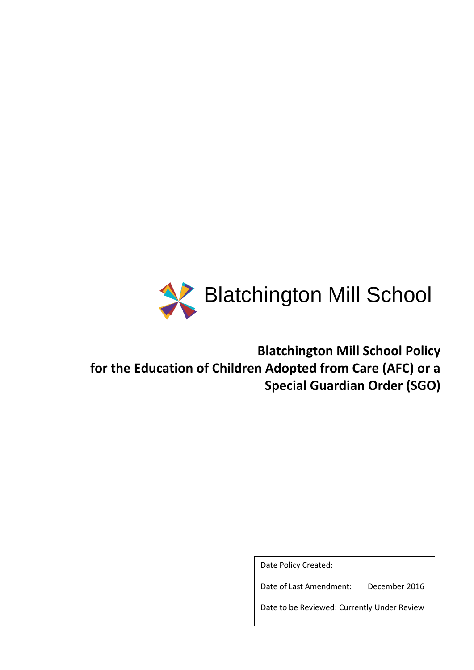

**Blatchington Mill School Policy for the Education of Children Adopted from Care (AFC) or a Special Guardian Order (SGO)**

Date Policy Created:

Date of Last Amendment: December 2016

Date to be Reviewed: Currently Under Review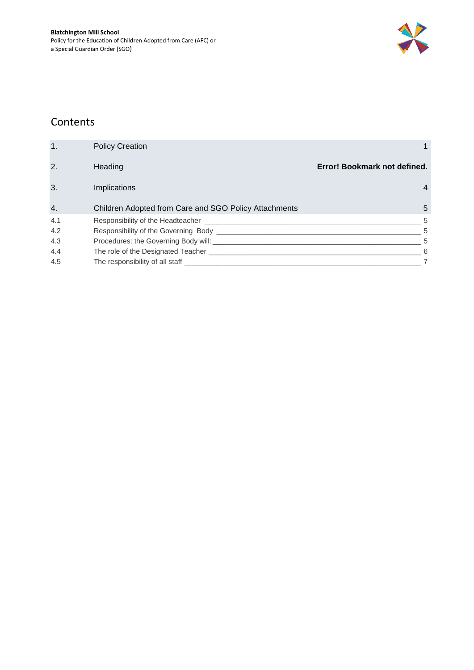

### Contents

| 1.  | <b>Policy Creation</b>                                |                              |
|-----|-------------------------------------------------------|------------------------------|
| 2.  | Heading                                               | Error! Bookmark not defined. |
| 3.  | <b>Implications</b>                                   | 4                            |
| 4.  | Children Adopted from Care and SGO Policy Attachments | 5                            |
| 4.1 | Responsibility of the Headteacher ___                 | 5                            |
| 4.2 | Responsibility of the Governing Body __               | 5                            |
| 4.3 | Procedures: the Governing Body will: ________         | 5                            |
| 4.4 | The role of the Designated Teacher _________          | -6                           |
| 4.5 | The responsibility of all staff _                     |                              |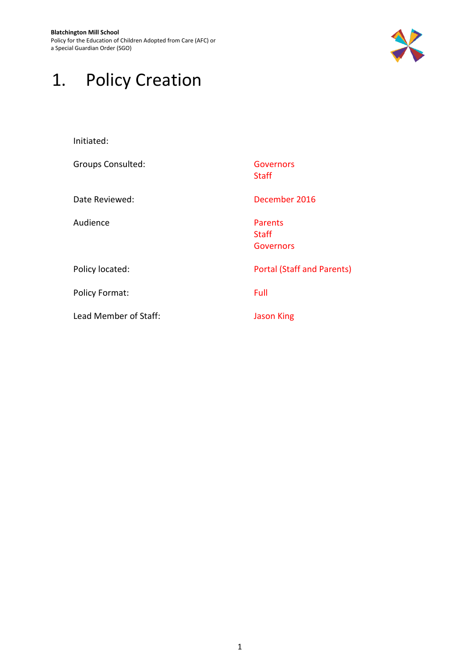**Blatchington Mill School** Policy for the Education of Children Adopted from Care (AFC) or a Special Guardian Order (SGO)



## <span id="page-3-0"></span>1. Policy Creation

| Initiated:               |                                             |
|--------------------------|---------------------------------------------|
| <b>Groups Consulted:</b> | Governors<br><b>Staff</b>                   |
| Date Reviewed:           | December 2016                               |
| Audience                 | <b>Parents</b><br><b>Staff</b><br>Governors |
| Policy located:          | <b>Portal (Staff and Parents)</b>           |
| <b>Policy Format:</b>    | Full                                        |
| Lead Member of Staff:    | <b>Jason King</b>                           |
|                          |                                             |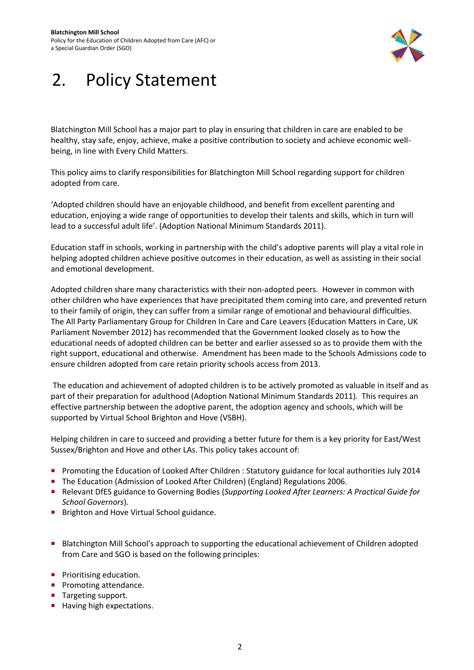

## 2. Policy Statement

Blatchington Mill School has a major part to play in ensuring that children in care are enabled to be healthy, stay safe, enjoy, achieve, make a positive contribution to society and achieve economic wellbeing, in line with Every Child Matters.

This policy aims to clarify responsibilities for Blatchington Mill School regarding support for children adopted from care.

'Adopted children should have an enjoyable childhood, and benefit from excellent parenting and education, enjoying a wide range of opportunities to develop their talents and skills, which in turn will lead to a successful adult life'. (Adoption National Minimum Standards 2011).

Education staff in schools, working in partnership with the child's adoptive parents will play a vital role in helping adopted children achieve positive outcomes in their education, as well as assisting in their social and emotional development.

Adopted children share many characteristics with their non-adopted peers. However in common with other children who have experiences that have precipitated them coming into care, and prevented return to their family of origin, they can suffer from a similar range of emotional and behavioural difficulties. The All Party Parliamentary Group for Children In Care and Care Leavers (Education Matters in Care, UK Parliament November 2012) has recommended that the Government looked closely as to how the educational needs of adopted children can be better and earlier assessed so as to provide them with the right support, educational and otherwise. Amendment has been made to the Schools Admissions code to ensure children adopted from care retain priority schools access from 2013.

The education and achievement of adopted children is to be actively promoted as valuable in itself and as part of their preparation for adulthood (Adoption National Minimum Standards 2011). This requires an effective partnership between the adoptive parent, the adoption agency and schools, which will be supported by Virtual School Brighton and Hove (VSBH).

Helping children in care to succeed and providing a better future for them is a key priority for East/West Sussex/Brighton and Hove and other LAs. This policy takes account of:

- **Promoting the Education of Looked After Children : Statutory guidance for local authorities July 2014**
- The Education (Admission of Looked After Children) (England) Regulations 2006.
- Relevant DfES guidance to Governing Bodies (*Supporting Looked After Learners: A Practical Guide for School Governors*)*.*
- **Brighton and Hove Virtual School guidance.**
- Blatchington Mill School's approach to supporting the educational achievement of Children adopted from Care and SGO is based on the following principles:
- **Prioritising education.**
- **Promoting attendance.**
- Targeting support.
- Having high expectations.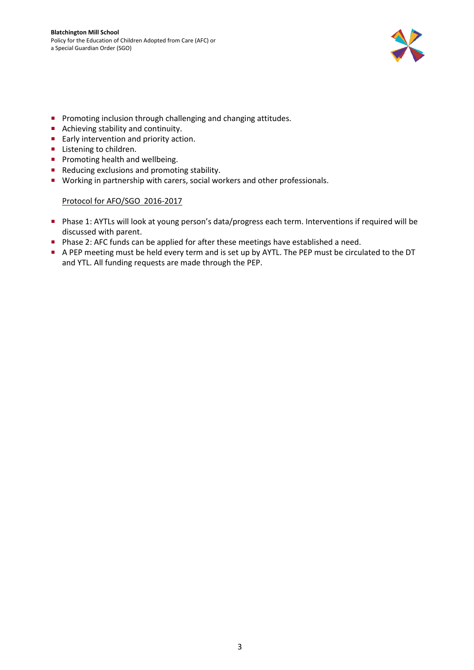

- **Promoting inclusion through challenging and changing attitudes.**
- Achieving stability and continuity.
- **Early intervention and priority action.**
- **Listening to children.**
- **Promoting health and wellbeing.**
- Reducing exclusions and promoting stability.
- **Working in partnership with carers, social workers and other professionals.**

#### Protocol for AFO/SGO 2016-2017

- Phase 1: AYTLs will look at young person's data/progress each term. Interventions if required will be discussed with parent.
- **Phase 2: AFC funds can be applied for after these meetings have established a need.**
- A PEP meeting must be held every term and is set up by AYTL. The PEP must be circulated to the DT and YTL. All funding requests are made through the PEP.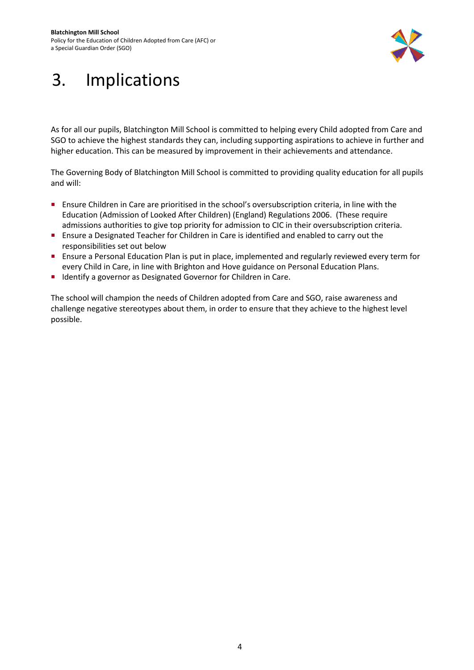

# <span id="page-6-0"></span>3. Implications

As for all our pupils, Blatchington Mill School is committed to helping every Child adopted from Care and SGO to achieve the highest standards they can, including supporting aspirations to achieve in further and higher education. This can be measured by improvement in their achievements and attendance.

The Governing Body of Blatchington Mill School is committed to providing quality education for all pupils and will:

- Ensure Children in Care are prioritised in the school's oversubscription criteria, in line with the Education (Admission of Looked After Children) (England) Regulations 2006. (These require admissions authorities to give top priority for admission to CIC in their oversubscription criteria.
- **Ensure a Designated Teacher for Children in Care is identified and enabled to carry out the** responsibilities set out below
- **Ensure a Personal Education Plan is put in place, implemented and regularly reviewed every term for** every Child in Care, in line with Brighton and Hove guidance on Personal Education Plans.
- **IDENTIFY** a governor as Designated Governor for Children in Care.

The school will champion the needs of Children adopted from Care and SGO, raise awareness and challenge negative stereotypes about them, in order to ensure that they achieve to the highest level possible.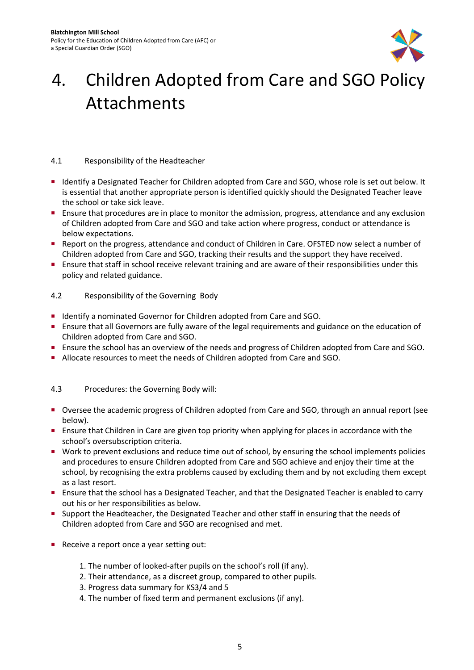

## <span id="page-7-0"></span>4. Children Adopted from Care and SGO Policy Attachments

### <span id="page-7-1"></span>4.1 Responsibility of the Headteacher

- Identify a Designated Teacher for Children adopted from Care and SGO, whose role is set out below. It is essential that another appropriate person is identified quickly should the Designated Teacher leave the school or take sick leave.
- **Ensure that procedures are in place to monitor the admission, progress, attendance and any exclusion** of Children adopted from Care and SGO and take action where progress, conduct or attendance is below expectations.
- Report on the progress, attendance and conduct of Children in Care. OFSTED now select a number of Children adopted from Care and SGO, tracking their results and the support they have received.
- Ensure that staff in school receive relevant training and are aware of their responsibilities under this policy and related guidance.

#### <span id="page-7-2"></span>4.2 Responsibility of the Governing Body

- Identify a nominated Governor for Children adopted from Care and SGO.
- Ensure that all Governors are fully aware of the legal requirements and guidance on the education of Children adopted from Care and SGO.
- **Ensure the school has an overview of the needs and progress of Children adopted from Care and SGO.**
- Allocate resources to meet the needs of Children adopted from Care and SGO.

#### <span id="page-7-3"></span>4.3 Procedures: the Governing Body will:

- Oversee the academic progress of Children adopted from Care and SGO, through an annual report (see below).
- **Ensure that Children in Care are given top priority when applying for places in accordance with the** school's oversubscription criteria.
- Work to prevent exclusions and reduce time out of school, by ensuring the school implements policies and procedures to ensure Children adopted from Care and SGO achieve and enjoy their time at the school, by recognising the extra problems caused by excluding them and by not excluding them except as a last resort.
- **Ensure that the school has a Designated Teacher, and that the Designated Teacher is enabled to carry** out his or her responsibilities as below.
- **Support the Headteacher, the Designated Teacher and other staff in ensuring that the needs of** Children adopted from Care and SGO are recognised and met.
- Receive a report once a year setting out:
	- 1. The number of looked-after pupils on the school's roll (if any).
	- 2. Their attendance, as a discreet group, compared to other pupils.
	- 3. Progress data summary for KS3/4 and 5
	- 4. The number of fixed term and permanent exclusions (if any).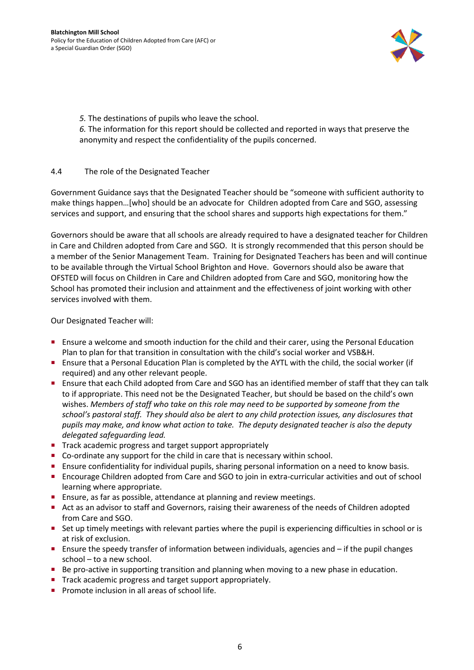

*5.* The destinations of pupils who leave the school.

*6.* The information for this report should be collected and reported in ways that preserve the anonymity and respect the confidentiality of the pupils concerned.

### <span id="page-8-0"></span>4.4 The role of the Designated Teacher

Government Guidance says that the Designated Teacher should be "someone with sufficient authority to make things happen…[who] should be an advocate for Children adopted from Care and SGO, assessing services and support, and ensuring that the school shares and supports high expectations for them."

Governors should be aware that all schools are already required to have a designated teacher for Children in Care and Children adopted from Care and SGO. It is strongly recommended that this person should be a member of the Senior Management Team. Training for Designated Teachers has been and will continue to be available through the Virtual School Brighton and Hove. Governors should also be aware that OFSTED will focus on Children in Care and Children adopted from Care and SGO, monitoring how the School has promoted their inclusion and attainment and the effectiveness of joint working with other services involved with them.

Our Designated Teacher will:

- **Ensure a welcome and smooth induction for the child and their carer, using the Personal Education** Plan to plan for that transition in consultation with the child's social worker and VSB&H.
- Ensure that a Personal Education Plan is completed by the AYTL with the child, the social worker (if required) and any other relevant people.
- **Ensure that each Child adopted from Care and SGO has an identified member of staff that they can talk** to if appropriate. This need not be the Designated Teacher, but should be based on the child's own wishes. *Members of staff who take on this role may need to be supported by someone from the school's pastoral staff. They should also be alert to any child protection issues, any disclosures that pupils may make, and know what action to take. The deputy designated teacher is also the deputy delegated safeguarding lead.*
- Track academic progress and target support appropriately
- Co-ordinate any support for the child in care that is necessary within school.
- Ensure confidentiality for individual pupils, sharing personal information on a need to know basis.
- **Encourage Children adopted from Care and SGO to join in extra-curricular activities and out of school** learning where appropriate.
- **Ensure, as far as possible, attendance at planning and review meetings.**
- Act as an advisor to staff and Governors, raising their awareness of the needs of Children adopted from Care and SGO.
- Set up timely meetings with relevant parties where the pupil is experiencing difficulties in school or is at risk of exclusion.
- **Ensure the speedy transfer of information between individuals, agencies and if the pupil changes** school – to a new school.
- Be pro-active in supporting transition and planning when moving to a new phase in education.
- Track academic progress and target support appropriately.
- Promote inclusion in all areas of school life.